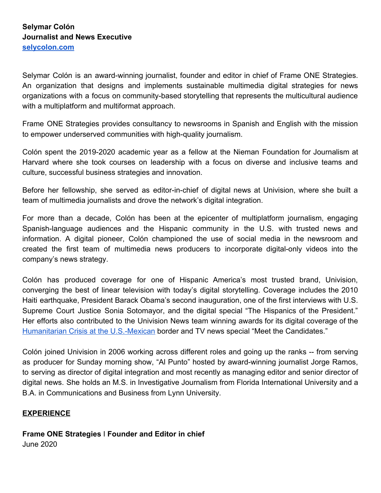Selymar Colón is an award-winning journalist, founder and editor in chief of Frame ONE Strategies. An organization that designs and implements sustainable multimedia digital strategies for news organizations with a focus on community-based storytelling that represents the multicultural audience with a multiplatform and multiformat approach.

Frame ONE Strategies provides consultancy to newsrooms in Spanish and English with the mission to empower underserved communities with high-quality journalism.

Colón spent the 2019-2020 academic year as a fellow at the Nieman Foundation for Journalism at Harvard where she took courses on leadership with a focus on diverse and inclusive teams and culture, successful business strategies and innovation.

Before her fellowship, she served as editor-in-chief of digital news at Univision, where she built a team of multimedia journalists and drove the network's digital integration.

For more than a decade, Colón has been at the epicenter of multiplatform journalism, engaging Spanish-language audiences and the Hispanic community in the U.S. with trusted news and information. A digital pioneer, Colón championed the use of social media in the newsroom and created the first team of multimedia news producers to incorporate digital-only videos into the company's news strategy.

Colón has produced coverage for one of Hispanic America's most trusted brand, Univision, converging the best of linear television with today's digital storytelling. Coverage includes the 2010 Haiti earthquake, President Barack Obama's second inauguration, one of the first interviews with U.S. Supreme Court Justice Sonia Sotomayor, and the digital special "The Hispanics of the President." Her efforts also contributed to the Univision News team winning awards for its digital coverage of the [Humanitarian Crisis at the U.S.-Mexican](https://corporate.univision.com/press/2015/02/11/univision-news-wins-king-of-spain-international-journalism-award/) border and TV news special "Meet the Candidates."

Colón joined Univision in 2006 working across different roles and going up the ranks -- from serving as producer for Sunday morning show, "Al Punto" hosted by award-winning journalist Jorge Ramos, to serving as director of digital integration and most recently as managing editor and senior director of digital news. She holds an M.S. in Investigative Journalism from Florida International University and a B.A. in Communications and Business from Lynn University.

#### **EXPERIENCE**

**Frame ONE Strategies** I **Founder and Editor in chief** June 2020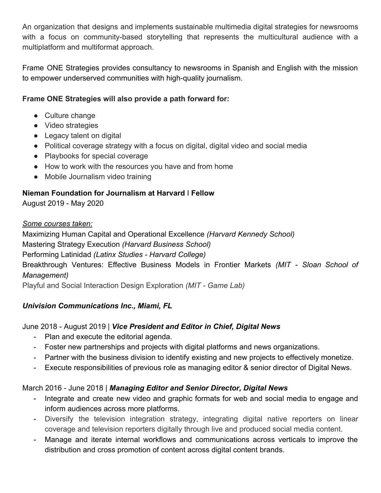An organization that designs and implements sustainable multimedia digital strategies for newsrooms with a focus on community-based storytelling that represents the multicultural audience with a multiplatform and multiformat approach.

Frame ONE Strategies provides consultancy to newsrooms in Spanish and English with the mission to empower underserved communities with high-quality journalism.

## **Frame ONE Strategies will also provide a path forward for:**

- Culture change
- Video strategies
- Legacy talent on digital
- Political coverage strategy with a focus on digital, digital video and social media
- Playbooks for special coverage
- How to work with the resources you have and from home
- Mobile Journalism video training

## **Nieman Foundation for Journalism at Harvard** I **Fellow**

August 2019 - May 2020

### *Some courses taken:*

Maximizing Human Capital and Operational Excellence *(Harvard Kennedy School)* Mastering Strategy Execution *(Harvard Business School)* Performing Latinidad *(Latinx Studies - Harvard College)* Breakthrough Ventures: Effective Business Models in Frontier Markets *(MIT - Sloan School of Management)*

Playful and Social Interaction Design Exploration *(MIT - Game Lab)*

# *Univision Communications Inc., Miami, FL*

# June 2018 - August 2019 | *Vice President and Editor in Chief, Digital News*

- Plan and execute the editorial agenda.
- Foster new partnerships and projects with digital platforms and news organizations.
- Partner with the business division to identify existing and new projects to effectively monetize.
- Execute responsibilities of previous role as managing editor & senior director of Digital News.

# March 2016 - June 2018 | *Managing Editor and Senior Director, Digital News*

- Integrate and create new video and graphic formats for web and social media to engage and inform audiences across more platforms.
- Diversify the television integration strategy, integrating digital native reporters on linear coverage and television reporters digitally through live and produced social media content.
- Manage and iterate internal workflows and communications across verticals to improve the distribution and cross promotion of content across digital content brands.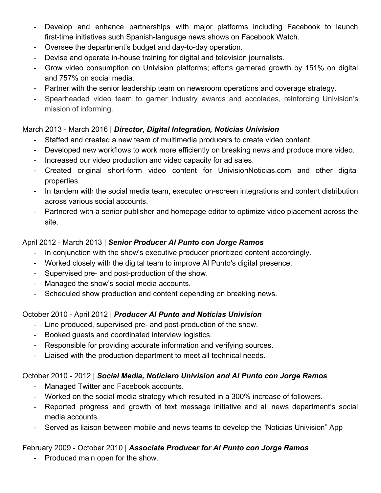- Develop and enhance partnerships with major platforms including Facebook to launch first-time initiatives such Spanish-language news shows on Facebook Watch.
- Oversee the department's budget and day-to-day operation.
- Devise and operate in-house training for digital and television journalists.
- Grow video consumption on Univision platforms; efforts garnered growth by 151% on digital and 757% on social media.
- Partner with the senior leadership team on newsroom operations and coverage strategy.
- Spearheaded video team to garner industry awards and accolades, reinforcing Univision's mission of informing.

## March 2013 - March 2016 | *Director, Digital Integration, Noticias Univision*

- Staffed and created a new team of multimedia producers to create video content.
- Developed new workflows to work more efficiently on breaking news and produce more video.
- Increased our video production and video capacity for ad sales.
- Created original short-form video content for UnivisionNoticias.com and other digital properties.
- In tandem with the social media team, executed on-screen integrations and content distribution across various social accounts.
- Partnered with a senior publisher and homepage editor to optimize video placement across the site.

## April 2012 - March 2013 | *Senior Producer Al Punto con Jorge Ramos*

- In conjunction with the show's executive producer prioritized content accordingly.
- Worked closely with the digital team to improve Al Punto's digital presence.
- Supervised pre- and post-production of the show.
- Managed the show's social media accounts.
- Scheduled show production and content depending on breaking news.

# October 2010 - April 2012 | *Producer Al Punto and Noticias Univision*

- Line produced, supervised pre- and post-production of the show.
- Booked guests and coordinated interview logistics.
- Responsible for providing accurate information and verifying sources.
- Liaised with the production department to meet all technical needs.

# October 2010 - 2012 | *Social Media, Noticiero Univision and Al Punto con Jorge Ramos*

- Managed Twitter and Facebook accounts.
- Worked on the social media strategy which resulted in a 300% increase of followers.
- Reported progress and growth of text message initiative and all news department's social media accounts.
- Served as liaison between mobile and news teams to develop the "Noticias Univision" App

# February 2009 - October 2010 | *Associate Producer for Al Punto con Jorge Ramos*

- Produced main open for the show.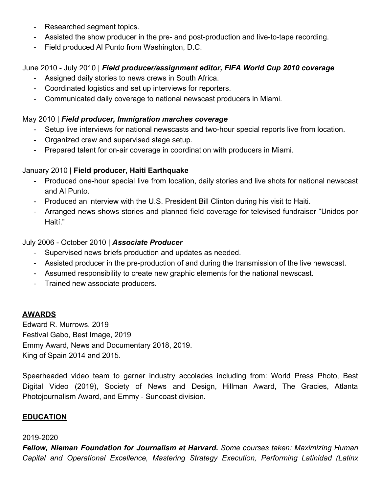- Researched segment topics.
- Assisted the show producer in the pre- and post-production and live-to-tape recording.
- Field produced Al Punto from Washington, D.C.

### June 2010 - July 2010 | *Field producer/assignment editor, FIFA World Cup 2010 coverage*

- Assigned daily stories to news crews in South Africa.
- Coordinated logistics and set up interviews for reporters.
- Communicated daily coverage to national newscast producers in Miami.

#### May 2010 | *Field producer, Immigration marches coverage*

- Setup live interviews for national newscasts and two-hour special reports live from location.
- Organized crew and supervised stage setup.
- Prepared talent for on-air coverage in coordination with producers in Miami.

### January 2010 | **Field producer, Haiti Earthquake**

- Produced one-hour special live from location, daily stories and live shots for national newscast and Al Punto.
- Produced an interview with the U.S. President Bill Clinton during his visit to Haiti.
- Arranged news shows stories and planned field coverage for televised fundraiser "Unidos por Haití."

#### July 2006 - October 2010 | *Associate Producer*

- Supervised news briefs production and updates as needed.
- Assisted producer in the pre-production of and during the transmission of the live newscast.
- Assumed responsibility to create new graphic elements for the national newscast.
- Trained new associate producers.

### **AWARDS**

Edward R. Murrows, 2019 Festival Gabo, Best Image, 2019 Emmy Award, News and Documentary 2018, 2019. King of Spain 2014 and 2015.

Spearheaded video team to garner industry accolades including from: World Press Photo, Best Digital Video (2019), Society of News and Design, Hillman Award, The Gracies, Atlanta Photojournalism Award, and Emmy - Suncoast division.

#### **EDUCATION**

#### 2019-2020

*Fellow, Nieman Foundation for Journalism at Harvard. Some courses taken: Maximizing Human Capital and Operational Excellence, Mastering Strategy Execution, Performing Latinidad (Latinx*